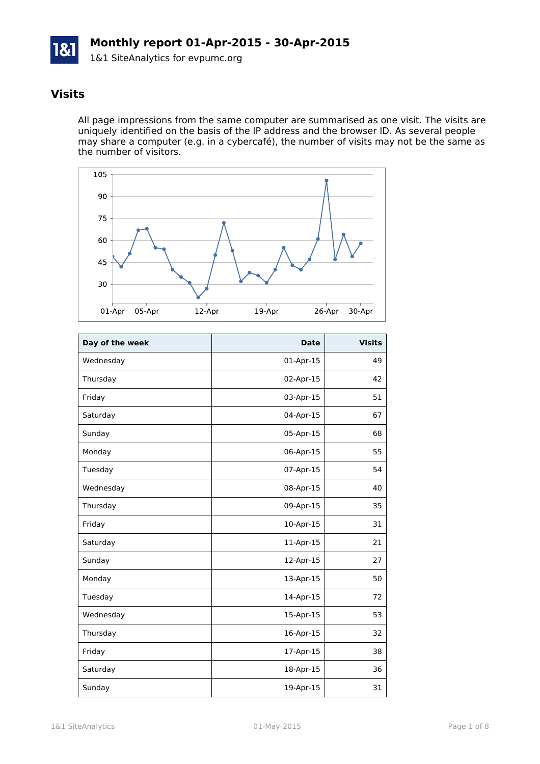

### **Visits**

All page impressions from the same computer are summarised as one visit. The visits are uniquely identified on the basis of the IP address and the browser ID. As several people may share a computer (e.g. in a cybercafé), the number of visits may not be the same as the number of visitors.



| Day of the week | <b>Date</b> | <b>Visits</b> |
|-----------------|-------------|---------------|
| Wednesday       | 01-Apr-15   | 49            |
| Thursday        | 02-Apr-15   | 42            |
| Friday          | 03-Apr-15   | 51            |
| Saturday        | 04-Apr-15   | 67            |
| Sunday          | 05-Apr-15   | 68            |
| Monday          | 06-Apr-15   | 55            |
| Tuesday         | 07-Apr-15   | 54            |
| Wednesday       | 08-Apr-15   | 40            |
| Thursday        | 09-Apr-15   | 35            |
| Friday          | 10-Apr-15   | 31            |
| Saturday        | 11-Apr-15   | 21            |
| Sunday          | 12-Apr-15   | 27            |
| Monday          | 13-Apr-15   | 50            |
| Tuesday         | 14-Apr-15   | 72            |
| Wednesday       | 15-Apr-15   | 53            |
| Thursday        | 16-Apr-15   | 32            |
| Friday          | 17-Apr-15   | 38            |
| Saturday        | 18-Apr-15   | 36            |
| Sunday          | 19-Apr-15   | 31            |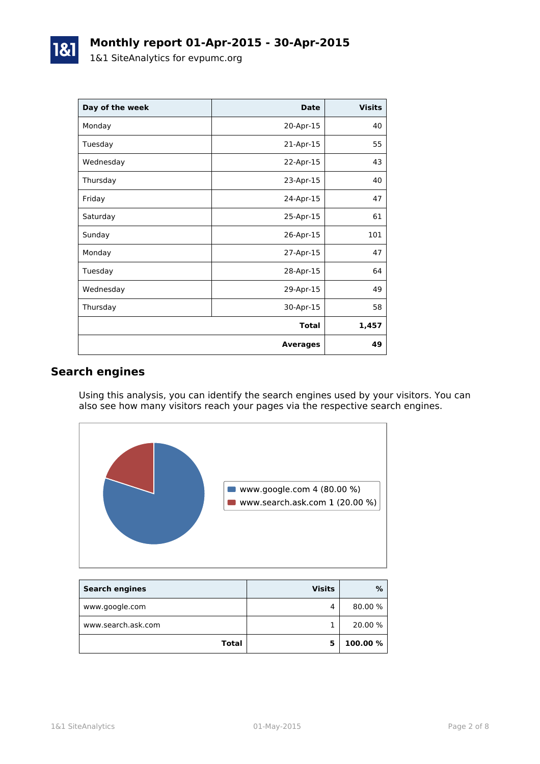| Day of the week | <b>Date</b>     | <b>Visits</b> |
|-----------------|-----------------|---------------|
| Monday          | 20-Apr-15       | 40            |
| Tuesday         | 21-Apr-15       | 55            |
| Wednesday       | 22-Apr-15       | 43            |
| Thursday        | 23-Apr-15       | 40            |
| Friday          | 24-Apr-15       | 47            |
| Saturday        | 25-Apr-15       | 61            |
| Sunday          | 26-Apr-15       | 101           |
| Monday          | 27-Apr-15       | 47            |
| Tuesday         | 28-Apr-15       | 64            |
| Wednesday       | 29-Apr-15       | 49            |
| Thursday        | 30-Apr-15       | 58            |
|                 | <b>Total</b>    | 1,457         |
|                 | <b>Averages</b> | 49            |

### **Search engines**

Using this analysis, you can identify the search engines used by your visitors. You can also see how many visitors reach your pages via the respective search engines.



| <b>Search engines</b> | <b>Visits</b> | $\%$     |
|-----------------------|---------------|----------|
| www.google.com        | 4             | 80.00 %  |
| www.search.ask.com    |               | 20.00 %  |
| <b>Total</b>          |               | 100.00 % |

1&1 SiteAnalytics 01-May-2015 Page 2 of 8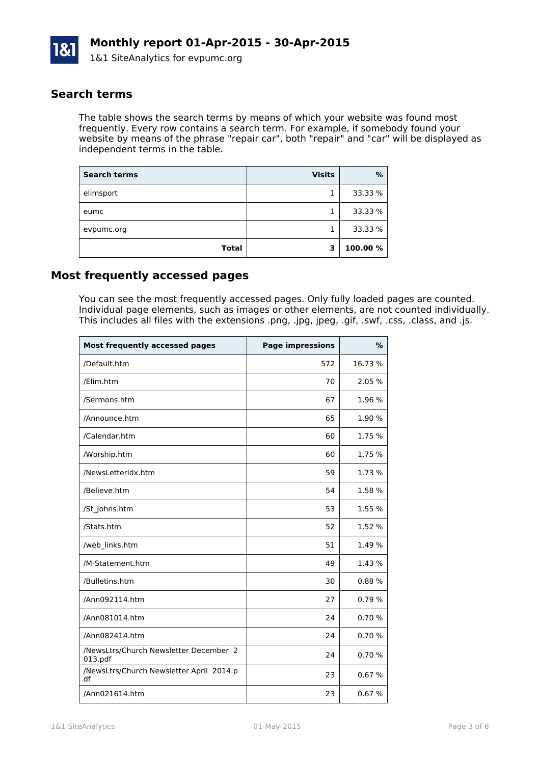

### **Search terms**

The table shows the search terms by means of which your website was found most frequently. Every row contains a search term. For example, if somebody found your website by means of the phrase "repair car", both "repair" and "car" will be displayed as independent terms in the table.

| <b>Search terms</b> | <b>Visits</b> | %        |
|---------------------|---------------|----------|
| elimsport           |               | 33.33 %  |
| eumc                |               | 33.33 %  |
| evpumc.org          |               | 33.33 %  |
| <b>Total</b>        | 3             | 100.00 % |

### **Most frequently accessed pages**

You can see the most frequently accessed pages. Only fully loaded pages are counted. Individual page elements, such as images or other elements, are not counted individually. This includes all files with the extensions .png, .jpg, jpeg, .gif, .swf, .css, .class, and .js.

| <b>Most frequently accessed pages</b>             | <b>Page impressions</b> | $\%$    |
|---------------------------------------------------|-------------------------|---------|
| /Default.htm                                      | 572                     | 16.73 % |
| /Elim.htm                                         | 70                      | 2.05 %  |
| /Sermons.htm                                      | 67                      | 1.96 %  |
| /Announce.htm                                     | 65                      | 1.90 %  |
| /Calendar.htm                                     | 60                      | 1.75 %  |
| /Worship.htm                                      | 60                      | 1.75 %  |
| /NewsLetterIdx.htm                                | 59                      | 1.73 %  |
| /Believe.htm                                      | 54                      | 1.58 %  |
| /St_Johns.htm                                     | 53                      | 1.55 %  |
| /Stats.htm                                        | 52                      | 1.52 %  |
| /web_links.htm                                    | 51                      | 1.49 %  |
| /M-Statement.htm                                  | 49                      | 1.43 %  |
| /Bulletins.htm                                    | 30                      | 0.88%   |
| /Ann092114.htm                                    | 27                      | 0.79%   |
| /Ann081014.htm                                    | 24                      | 0.70%   |
| /Ann082414.htm                                    | 24                      | 0.70%   |
| /NewsLtrs/Church Newsletter December 2<br>013.pdf | 24                      | 0.70%   |
| /NewsLtrs/Church Newsletter April 2014.p<br>df    | 23                      | 0.67%   |
| /Ann021614.htm                                    | 23                      | 0.67%   |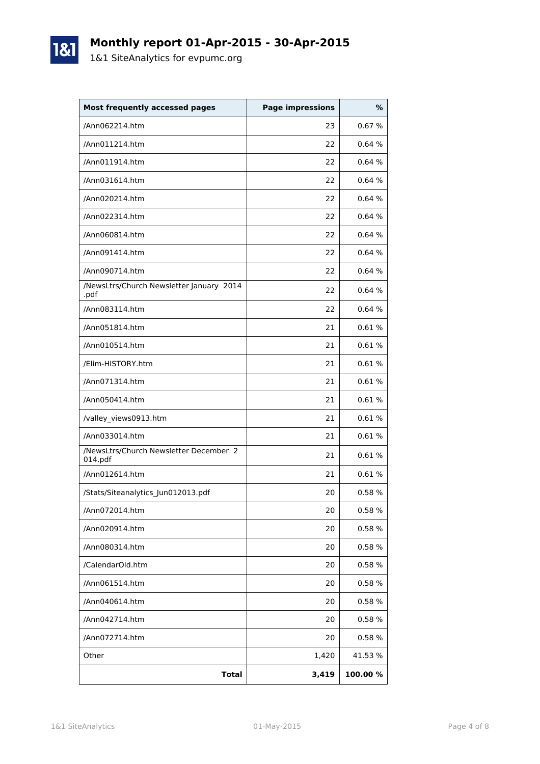# **Monthly report 01-Apr-2015 - 30-Apr-2015**

1&1 SiteAnalytics for evpumc.org

1&1

| <b>Most frequently accessed pages</b>             | <b>Page impressions</b> | %       |
|---------------------------------------------------|-------------------------|---------|
| /Ann062214.htm                                    | 23                      | 0.67%   |
| /Ann011214.htm                                    | 22                      | 0.64%   |
| /Ann011914.htm                                    | 22                      | 0.64%   |
| /Ann031614.htm                                    | 22                      | 0.64%   |
| /Ann020214.htm                                    | 22                      | 0.64%   |
| /Ann022314.htm                                    | 22                      | 0.64%   |
| /Ann060814.htm                                    | 22                      | 0.64%   |
| /Ann091414.htm                                    | 22                      | 0.64%   |
| /Ann090714.htm                                    | 22                      | 0.64%   |
| /NewsLtrs/Church Newsletter January 2014<br>.pdf  | 22                      | 0.64%   |
| /Ann083114.htm                                    | 22                      | 0.64%   |
| /Ann051814.htm                                    | 21                      | 0.61%   |
| /Ann010514.htm                                    | 21                      | 0.61%   |
| /Elim-HISTORY.htm                                 | 21                      | 0.61%   |
| /Ann071314.htm                                    | 21                      | 0.61%   |
| /Ann050414.htm                                    | 21                      | 0.61%   |
| /valley_views0913.htm                             | 21                      | 0.61%   |
| /Ann033014.htm                                    | 21                      | 0.61%   |
| /NewsLtrs/Church Newsletter December 2<br>014.pdf | 21                      | 0.61%   |
| /Ann012614.htm                                    | 21                      | 0.61%   |
| /Stats/Siteanalytics_Jun012013.pdf                | 20                      | 0.58%   |
| /Ann072014.htm                                    | 20                      | 0.58%   |
| /Ann020914.htm                                    | 20                      | 0.58 %  |
| /Ann080314.htm                                    | 20                      | 0.58%   |
| /CalendarOld.htm                                  | 20                      | 0.58%   |
| /Ann061514.htm                                    | 20                      | 0.58%   |
| /Ann040614.htm                                    | 20                      | 0.58%   |
| /Ann042714.htm                                    | 20                      | 0.58%   |
| /Ann072714.htm                                    | 20                      | 0.58%   |
| Other                                             | 1,420                   | 41.53 % |
| <b>Total</b>                                      | 3,419                   | 100.00% |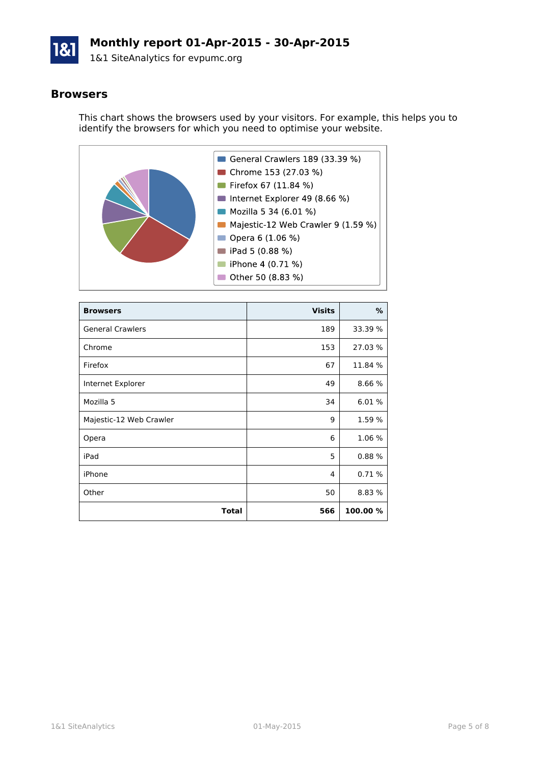

### **Monthly report 01-Apr-2015 - 30-Apr-2015**

1&1 SiteAnalytics for evpumc.org

#### **Browsers**

This chart shows the browsers used by your visitors. For example, this helps you to identify the browsers for which you need to optimise your website.



| <b>Browsers</b>         | <b>Visits</b> | %        |
|-------------------------|---------------|----------|
| <b>General Crawlers</b> | 189           | 33.39 %  |
| Chrome                  | 153           | 27.03 %  |
| Firefox                 | 67            | 11.84 %  |
| Internet Explorer       | 49            | 8.66 %   |
| Mozilla 5               | 34            | 6.01 %   |
| Majestic-12 Web Crawler | 9             | 1.59 %   |
| Opera                   | 6             | 1.06 %   |
| iPad                    | 5             | 0.88%    |
| iPhone                  | 4             | 0.71%    |
| Other                   | 50            | 8.83 %   |
| Total                   | 566           | 100.00 % |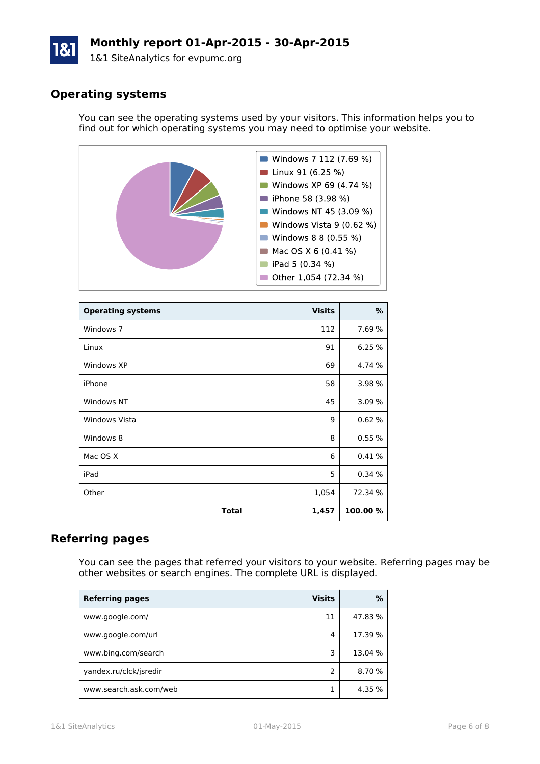# **Monthly report 01-Apr-2015 - 30-Apr-2015**

1&1 SiteAnalytics for evpumc.org

## **Operating systems**

You can see the operating systems used by your visitors. This information helps you to find out for which operating systems you may need to optimise your website.



| <b>Operating systems</b> | <b>Visits</b> | $\%$     |
|--------------------------|---------------|----------|
| Windows 7                | 112           | 7.69 %   |
| Linux                    | 91            | 6.25 %   |
| Windows XP               | 69            | 4.74 %   |
| iPhone                   | 58            | 3.98 %   |
| Windows NT               | 45            | 3.09%    |
| Windows Vista            | 9             | 0.62%    |
| Windows 8                | 8             | 0.55%    |
| Mac OS X                 | 6             | 0.41%    |
| iPad                     | 5             | 0.34%    |
| Other                    | 1,054         | 72.34 %  |
| <b>Total</b>             | 1,457         | 100.00 % |

### **Referring pages**

You can see the pages that referred your visitors to your website. Referring pages may be other websites or search engines. The complete URL is displayed.

| <b>Referring pages</b> | <b>Visits</b> | %       |
|------------------------|---------------|---------|
| www.google.com/        | 11            | 47.83 % |
| www.google.com/url     | 4             | 17.39 % |
| www.bing.com/search    | 3             | 13.04 % |
| yandex.ru/clck/jsredir |               | 8.70 %  |
| www.search.ask.com/web |               | 4.35 %  |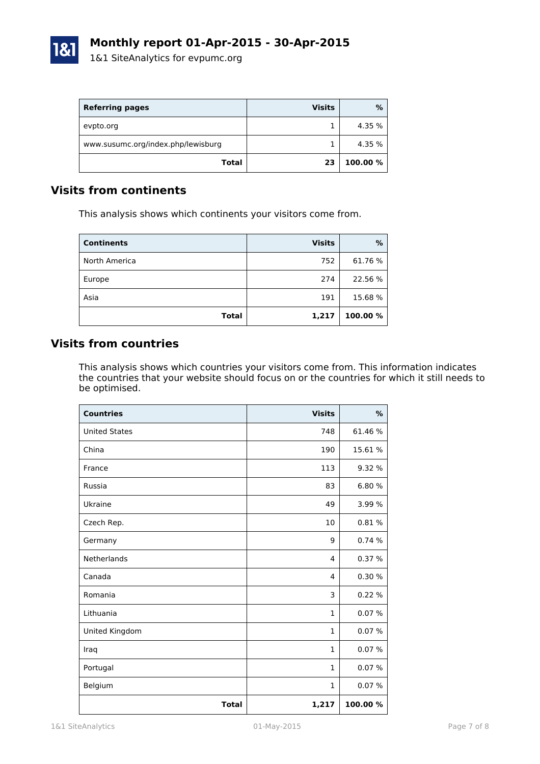

| <b>Referring pages</b>             | <b>Visits</b> | %        |
|------------------------------------|---------------|----------|
| evpto.org                          |               | 4.35 %   |
| www.susumc.org/index.php/lewisburg |               | 4.35 %   |
| Total                              | 23            | 100.00 % |

### **Visits from continents**

This analysis shows which continents your visitors come from.

| <b>Continents</b> | <b>Visits</b> | %        |
|-------------------|---------------|----------|
| North America     | 752           | 61.76%   |
| Europe            | 274           | 22.56 %  |
| Asia              | 191           | 15.68%   |
| <b>Total</b>      | 1,217         | 100.00 % |

## **Visits from countries**

This analysis shows which countries your visitors come from. This information indicates the countries that your website should focus on or the countries for which it still needs to be optimised.

| <b>Countries</b>     | <b>Visits</b> | %        |
|----------------------|---------------|----------|
| <b>United States</b> | 748           | 61.46 %  |
| China                | 190           | 15.61 %  |
| France               | 113           | 9.32 %   |
| Russia               | 83            | 6.80%    |
| Ukraine              | 49            | 3.99 %   |
| Czech Rep.           | 10            | 0.81%    |
| Germany              | 9             | 0.74 %   |
| Netherlands          | 4             | 0.37%    |
| Canada               | 4             | 0.30%    |
| Romania              | 3             | 0.22 %   |
| Lithuania            | $\mathbf{1}$  | 0.07%    |
| United Kingdom       | 1             | 0.07%    |
| Iraq                 | $\mathbf{1}$  | 0.07%    |
| Portugal             | $\mathbf{1}$  | 0.07%    |
| Belgium              | $\mathbf{1}$  | 0.07%    |
| <b>Total</b>         | 1,217         | 100.00 % |